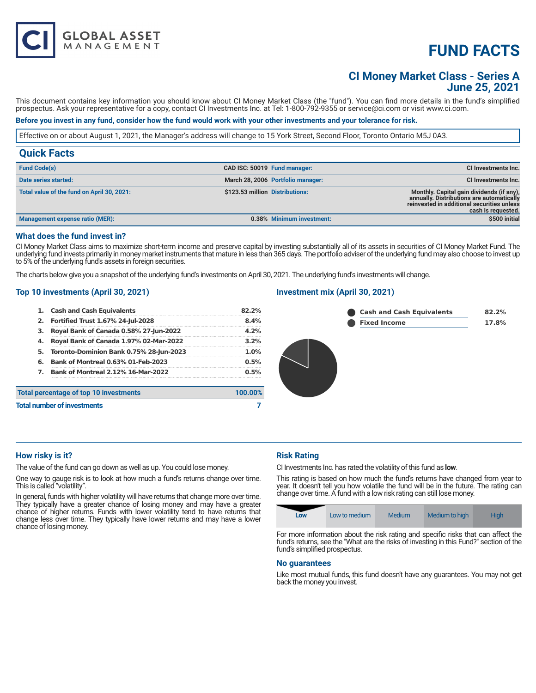# **FUND FACTS**

## **CI Money Market Class - Series A June 25, 2021**

This document contains key information you should know about CI Money Market Class (the "fund"). You can find more details in the fund's simplified prospectus. Ask your representative for a copy, contact CI Investments Inc. at Tel: 1-800-792-9355 or service@ci.com or visit www.ci.com.

### **Before you invest in any fund, consider how the fund would work with your other investments and your tolerance for risk.**

Effective on or about August 1, 2021, the Manager's address will change to 15 York Street, Second Floor, Toronto Ontario M5J 0A3.

| <b>Quick Facts</b>                         |                                   |                                                                                                                                                            |
|--------------------------------------------|-----------------------------------|------------------------------------------------------------------------------------------------------------------------------------------------------------|
| <b>Fund Code(s)</b>                        | CAD ISC: 50019 Fund manager:      | CI Investments Inc.                                                                                                                                        |
| Date series started:                       | March 28, 2006 Portfolio manager: | CI Investments Inc.                                                                                                                                        |
| Total value of the fund on April 30, 2021: | \$123.53 million Distributions:   | Monthly. Capital gain dividends (if any),<br>annually. Distributions are automatically<br>reinvested in additional securities unless<br>cash is requested. |
| Management expense ratio (MER):            | 0.38% Minimum investment:         | \$500 initial                                                                                                                                              |

#### **What does the fund invest in?**

**GLOBAL ASSET**<br>MANAGEMENT

CI Money Market Class aims to maximize short-term income and preserve capital by investing substantially all of its assets in securities of CI Money Market Fund. The underlying fund invests primarily in money market instruments that mature in less than 365 days. The portfolio adviser of the underlying fund may also choose to invest up to 5% of the underlying fund's assets in foreign securities.

The charts below give you a snapshot of the underlying fund's investments on April 30, 2021. The underlying fund's investments will change.

#### **Top 10 investments (April 30, 2021)**

|                                              | 1. Cash and Cash Equivalents              | 82.2%   |  |
|----------------------------------------------|-------------------------------------------|---------|--|
|                                              | 2. Fortified Trust 1.67% 24-Jul-2028      | 8.4%    |  |
| з.                                           | Royal Bank of Canada 0.58% 27-Jun-2022    | 4.2%    |  |
| 4.                                           | Royal Bank of Canada 1.97% 02-Mar-2022    | 3.2%    |  |
| 5.                                           | Toronto-Dominion Bank 0.75% 28-Jun-2023   | 1.0%    |  |
| 6.                                           | <b>Bank of Montreal 0.63% 01-Feb-2023</b> | 0.5%    |  |
| <b>7.</b> Bank of Montreal 2.12% 16-Mar-2022 |                                           | 0.5%    |  |
|                                              | Total percentage of top 10 investments    | 100.00% |  |
| <b>Total number of investments</b>           |                                           |         |  |
|                                              |                                           |         |  |

#### **Investment mix (April 30, 2021)**

| Cash and Cash Equivalents | 82.2% |
|---------------------------|-------|
| Fixed Income              | 17.8% |

#### **How risky is it?**

The value of the fund can go down as well as up. You could lose money.

One way to gauge risk is to look at how much a fund's returns change over time. This is called "volatility".

In general, funds with higher volatility will have returns that change more over time. They typically have a greater chance of losing money and may have a greater chance of higher returns. Funds with lower volatility tend to have returns that change less over time. They typically have lower returns and may have a lower chance of losing money.

#### **Risk Rating**

CI Investments Inc. has rated the volatility of this fund as **low**.

This rating is based on how much the fund's returns have changed from year to year. It doesn't tell you how volatile the fund will be in the future. The rating can change over time. A fund with a low risk rating can still lose money.



For more information about the risk rating and specific risks that can affect the fund's returns, see the "What are the risks of investing in this Fund?" section of the fund's simplified prospectus.

#### **No guarantees**

Like most mutual funds, this fund doesn't have any guarantees. You may not get back the money you invest.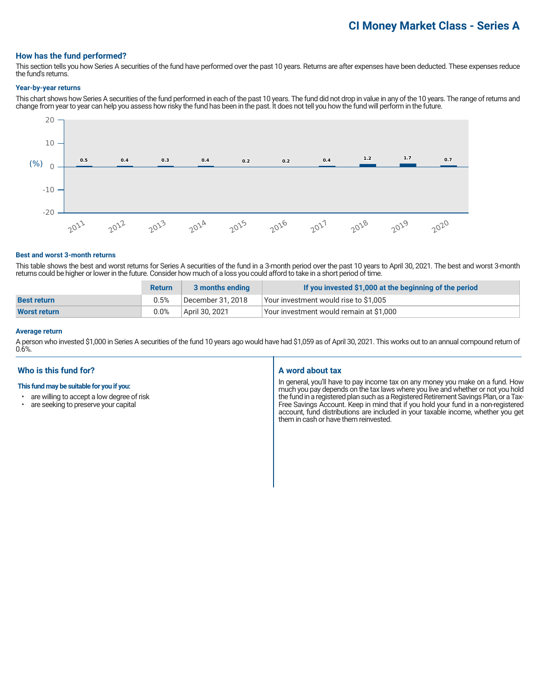# **CI Money Market Class - Series A**

#### **How has the fund performed?**

This section tells you how Series A securities of the fund have performed over the past 10 years. Returns are after expenses have been deducted. These expenses reduce the fund's returns.

#### **Year-by-year returns**

This chart shows how Series A securities of the fund performed in each of the past 10 years. The fund did not drop in value in any of the 10 years. The range of returns and change from year to year can help you assess how risky the fund has been in the past. It does not tell you how the fund will perform in the future.



#### **Best and worst 3-month returns**

This table shows the best and worst returns for Series A securities of the fund in a 3-month period over the past 10 years to April 30, 2021. The best and worst 3-month returns could be higher or lower in the future. Consider how much of a loss you could afford to take in a short period of time.

|                     | <b>Return</b> | 3 months ending   | If you invested \$1,000 at the beginning of the period |
|---------------------|---------------|-------------------|--------------------------------------------------------|
| <b>Best return</b>  | 0.5%          | December 31, 2018 | Your investment would rise to \$1,005                  |
| <b>Worst return</b> | 0.0%          | April 30, 2021    | Your investment would remain at \$1,000                |

#### **Average return**

A person who invested \$1,000 in Series A securities of the fund 10 years ago would have had \$1,059 as of April 30, 2021. This works out to an annual compound return of 0.6%.

### **Who is this fund for?**

#### **This fund may be suitable for you if you:**

- are willing to accept a low degree of risk<br>• are seeking to preserve your capital
- are seeking to preserve your capital

#### **A word about tax**

In general, you'll have to pay income tax on any money you make on a fund. How much you pay depends on the tax laws where you live and whether or not you hold the fund in a registered plan such as a Registered Retirement Savings Plan, or a Tax-Free Savings Account. Keep in mind that if you hold your fund in a non-registered account, fund distributions are included in your taxable income, whether you get them in cash or have them reinvested.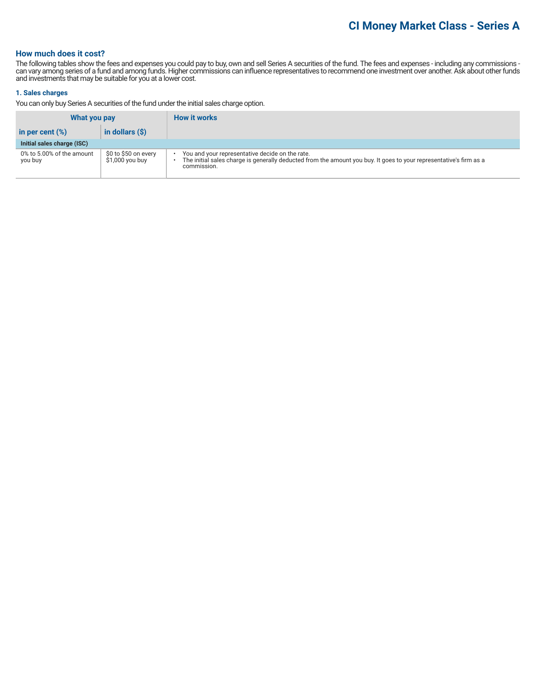### **How much does it cost?**

The following tables show the fees and expenses you could pay to buy, own and sell Series A securities of the fund. The fees and expenses - including any commissions can vary among series of a fund and among funds. Higher commissions can influence representatives to recommend one investment over another. Ask about other funds and investments that may be suitable for you at a lower cost.

#### **1. Sales charges**

You can only buy Series A securities of the fund under the initial sales charge option.

| What you pay                         |                                          | <b>How it works</b>                                                                                                                                                                  |
|--------------------------------------|------------------------------------------|--------------------------------------------------------------------------------------------------------------------------------------------------------------------------------------|
| in per cent $(\%)$                   | in dollars $(\hat{S})$                   |                                                                                                                                                                                      |
| Initial sales charge (ISC)           |                                          |                                                                                                                                                                                      |
| 0% to 5.00% of the amount<br>you buy | \$0 to \$50 on every<br>$$1,000$ you buy | You and your representative decide on the rate.<br>The initial sales charge is generally deducted from the amount you buy. It goes to your representative's firm as a<br>commission. |